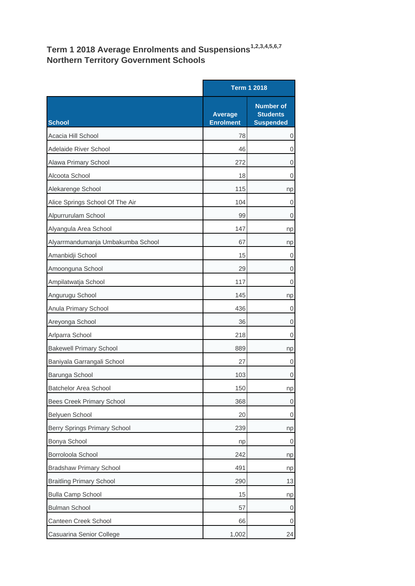## **Term 1 2018 Average Enrolments and Suspensions1,2,3,4,5,6,7 Northern Territory Government Schools**

|                                   |                                    | <b>Term 1 2018</b>                                      |  |
|-----------------------------------|------------------------------------|---------------------------------------------------------|--|
| School                            | <b>Average</b><br><b>Enrolment</b> | <b>Number of</b><br><b>Students</b><br><b>Suspended</b> |  |
| Acacia Hill School                | 78                                 | $\boldsymbol{0}$                                        |  |
| Adelaide River School             | 46                                 | 0                                                       |  |
| Alawa Primary School              | 272                                | 0                                                       |  |
| Alcoota School                    | 18                                 | 0                                                       |  |
| Alekarenge School                 | 115                                | np                                                      |  |
| Alice Springs School Of The Air   | 104                                | 0                                                       |  |
| Alpurrurulam School               | 99                                 | 0                                                       |  |
| Alyangula Area School             | 147                                | np                                                      |  |
| Alyarrmandumanja Umbakumba School | 67                                 | np                                                      |  |
| Amanbidji School                  | 15                                 | 0                                                       |  |
| Amoonguna School                  | 29                                 | 0                                                       |  |
| Ampilatwatja School               | 117                                | 0                                                       |  |
| Angurugu School                   | 145                                | np                                                      |  |
| Anula Primary School              | 436                                | 0                                                       |  |
| Areyonga School                   | 36                                 | $\boldsymbol{0}$                                        |  |
| Arlparra School                   | 218                                | 0                                                       |  |
| <b>Bakewell Primary School</b>    | 889                                | np                                                      |  |
| Baniyala Garrangali School        | 27                                 | 0                                                       |  |
| Barunga School                    | 103                                | 0                                                       |  |
| <b>Batchelor Area School</b>      | 150                                | np                                                      |  |
| <b>Bees Creek Primary School</b>  | 368                                | $\mathsf{O}\xspace$                                     |  |
| Belyuen School                    | 20                                 | 0                                                       |  |
| Berry Springs Primary School      | 239                                | np                                                      |  |
| Bonya School                      | np                                 | 0                                                       |  |
| Borroloola School                 | 242                                | np                                                      |  |
| <b>Bradshaw Primary School</b>    | 491                                | np                                                      |  |
| <b>Braitling Primary School</b>   | 290                                | 13                                                      |  |
| <b>Bulla Camp School</b>          | 15                                 | np                                                      |  |
| <b>Bulman School</b>              | 57                                 | 0                                                       |  |
| Canteen Creek School              | 66                                 | 0                                                       |  |
| Casuarina Senior College          | 1,002                              | 24                                                      |  |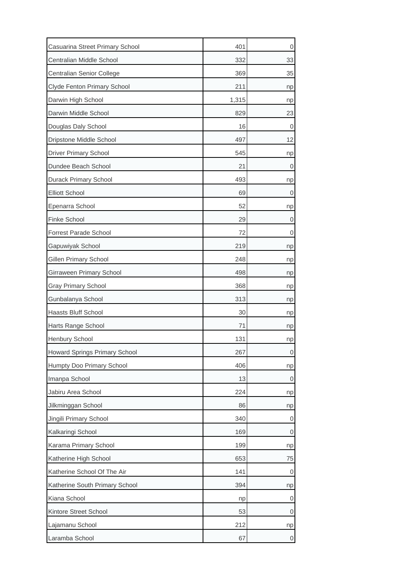| Casuarina Street Primary School | 401   | 0  |
|---------------------------------|-------|----|
| Centralian Middle School        | 332   | 33 |
| Centralian Senior College       | 369   | 35 |
| Clyde Fenton Primary School     | 211   | np |
| Darwin High School              | 1,315 | np |
| Darwin Middle School            | 829   | 23 |
| Douglas Daly School             | 16    | 0  |
| Dripstone Middle School         | 497   | 12 |
| <b>Driver Primary School</b>    | 545   | np |
| Dundee Beach School             | 21    | 0  |
| <b>Durack Primary School</b>    | 493   | np |
| <b>Elliott School</b>           | 69    | 0  |
| Epenarra School                 | 52    | np |
| <b>Finke School</b>             | 29    | 0  |
| Forrest Parade School           | 72    | 0  |
| Gapuwiyak School                | 219   | np |
| Gillen Primary School           | 248   | np |
| Girraween Primary School        | 498   | np |
| <b>Gray Primary School</b>      | 368   | np |
| Gunbalanya School               | 313   | np |
| Haasts Bluff School             | 30    | np |
| Harts Range School              | 71    | np |
| Henbury School                  | 131   | np |
| Howard Springs Primary School   | 267   | 0  |
| Humpty Doo Primary School       | 406   | np |
| Imanpa School                   | 13    | 0  |
| Jabiru Area School              | 224   | np |
| Jilkminggan School              | 86    | np |
| Jingili Primary School          | 340   | 0  |
| Kalkaringi School               | 169   | 0  |
| Karama Primary School           | 199   | np |
| Katherine High School           | 653   | 75 |
| Katherine School Of The Air     | 141   | 0  |
| Katherine South Primary School  | 394   | np |
| Kiana School                    | np    | 0  |
| Kintore Street School           | 53    | 0  |
| Lajamanu School                 | 212   | np |
| Laramba School                  | 67    | 0  |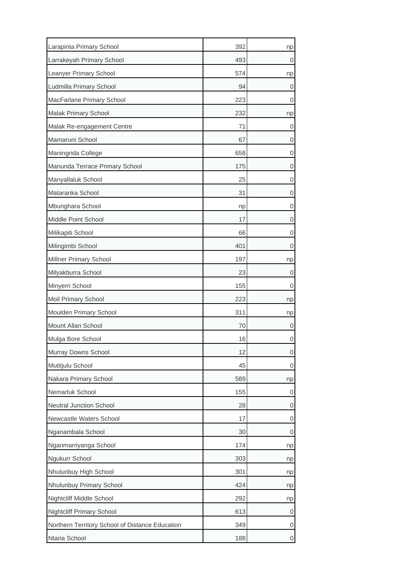| Larapinta Primary School                        | 392 | np |
|-------------------------------------------------|-----|----|
| Larrakeyah Primary School                       | 493 | 0  |
| Leanyer Primary School                          | 574 | np |
| Ludmilla Primary School                         | 94  | 0  |
| MacFarlane Primary School                       | 223 | 0  |
| Malak Primary School                            | 232 | np |
| Malak Re-engagement Centre                      | 71  | 0  |
| Mamaruni School                                 | 67  | 0  |
| Maningrida College                              | 658 | 0  |
| Manunda Terrace Primary School                  | 175 | 0  |
| Manyallaluk School                              | 25  | 0  |
| Mataranka School                                | 31  | 0  |
| Mbunghara School                                | np  | 0  |
| Middle Point School                             | 17  | 0  |
| Milikapiti School                               | 66  | 0  |
| Milingimbi School                               | 401 | 0  |
| Millner Primary School                          | 197 | np |
| Milyakburra School                              | 23  | 0  |
| Minyerri School                                 | 155 | 0  |
| Moil Primary School                             | 223 | np |
| Moulden Primary School                          | 311 | np |
| Mount Allan School                              | 70  | 0  |
| Mulga Bore School                               | 16  | 0  |
| Murray Downs School                             | 12  | 0  |
| Mutitjulu School                                | 45  | 0  |
| Nakara Primary School                           | 589 | np |
| Nemarluk School                                 | 155 | 0  |
| Neutral Junction School                         | 28  | 0  |
| Newcastle Waters School                         | 17  | 0  |
| Nganambala School                               | 30  | 0  |
| Nganmarriyanga School                           | 174 | np |
| Ngukurr School                                  | 303 | np |
| Nhulunbuy High School                           | 301 | np |
| Nhulunbuy Primary School                        | 424 | np |
| Nightcliff Middle School                        | 292 | np |
| <b>Nightcliff Primary School</b>                | 613 | 0  |
| Northern Territory School of Distance Education | 349 | 0  |
| Ntaria School                                   | 188 | 0  |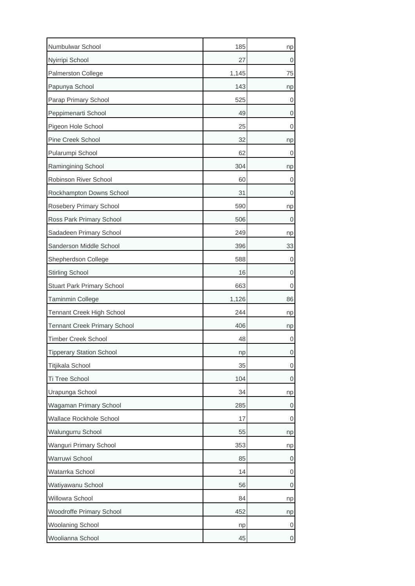| Numbulwar School                    | 185   | np |
|-------------------------------------|-------|----|
| Nyirripi School                     | 27    | 0  |
| Palmerston College                  | 1,145 | 75 |
| Papunya School                      | 143   | np |
| Parap Primary School                | 525   | 0  |
| Peppimenarti School                 | 49    | 0  |
| Pigeon Hole School                  | 25    | 0  |
| Pine Creek School                   | 32    | np |
| Pularumpi School                    | 62    | 0  |
| Ramingining School                  | 304   | np |
| Robinson River School               | 60    | 0  |
| Rockhampton Downs School            | 31    | 0  |
| Rosebery Primary School             | 590   | np |
| Ross Park Primary School            | 506   | 0  |
| Sadadeen Primary School             | 249   | np |
| Sanderson Middle School             | 396   | 33 |
| Shepherdson College                 | 588   | 0  |
| <b>Stirling School</b>              | 16    | 0  |
| <b>Stuart Park Primary School</b>   | 663   | 0  |
| Taminmin College                    | 1,126 | 86 |
| Tennant Creek High School           | 244   | np |
| <b>Tennant Creek Primary School</b> | 406   | np |
| <b>Timber Creek School</b>          | 48    | 0  |
| <b>Tipperary Station School</b>     | np    | 0  |
| Titjikala School                    | 35    | 0  |
| Ti Tree School                      | 104   | 0  |
| Urapunga School                     | 34    | np |
| Wagaman Primary School              | 285   | 0  |
| Wallace Rockhole School             | 17    | 0  |
| Walungurru School                   | 55    | np |
| Wanguri Primary School              | 353   | np |
| Warruwi School                      | 85    | 0  |
| Watarrka School                     | 14    | 0  |
| Watiyawanu School                   | 56    | 0  |
| Willowra School                     | 84    | np |
| Woodroffe Primary School            | 452   | np |
| <b>Woolaning School</b>             | np    | 0  |
| Woolianna School                    | 45    | 0  |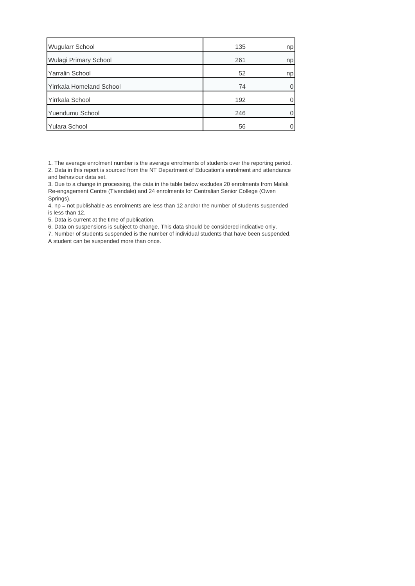| <b>Wugularr School</b>          | 135 | np |
|---------------------------------|-----|----|
| Wulagi Primary School           | 261 | np |
| <b>Yarralin School</b>          | 52  | np |
| <b>Yirrkala Homeland School</b> | 74  |    |
| Yirrkala School                 | 192 |    |
| Yuendumu School                 | 246 |    |
| <b>Yulara School</b>            | 56  |    |

1. The average enrolment number is the average enrolments of students over the reporting period. 2. Data in this report is sourced from the NT Department of Education's enrolment and attendance and behaviour data set.

3. Due to a change in processing, the data in the table below excludes 20 enrolments from Malak Re-engagement Centre (Tivendale) and 24 enrolments for Centralian Senior College (Owen Springs).

4. np = not publishable as enrolments are less than 12 and/or the number of students suspended is less than 12.

5. Data is current at the time of publication.

6. Data on suspensions is subject to change. This data should be considered indicative only.

7. Number of students suspended is the number of individual students that have been suspended. A student can be suspended more than once.